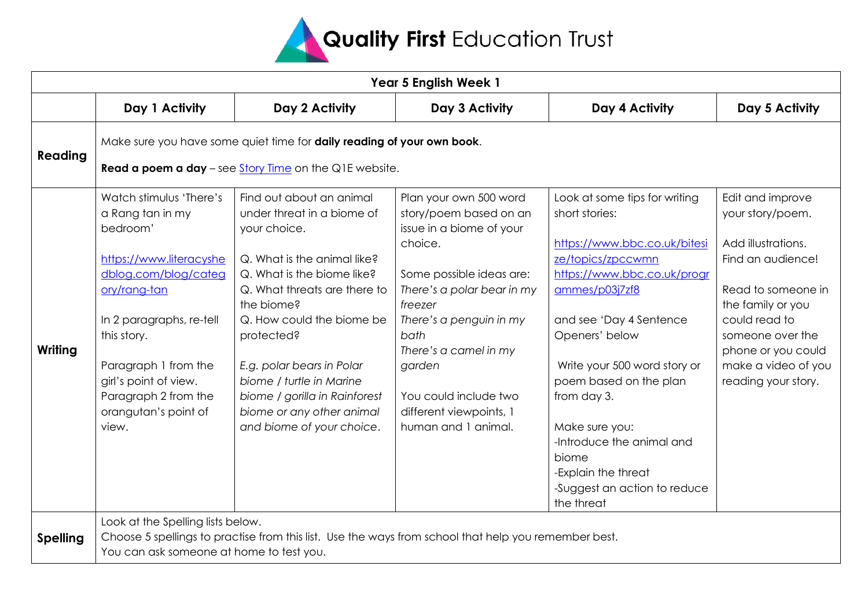

| Year 5 English Week 1 |                                                                                                                                                                                                                                                                                             |                                                                                                                                                                                                                                                                                                                                                                                  |                                                                                                                                                                                                                                                                                                               |                                                                                                                                                                                                                                                                                                                                                                                                          |                                                                                                                                                                                                                                     |  |  |  |
|-----------------------|---------------------------------------------------------------------------------------------------------------------------------------------------------------------------------------------------------------------------------------------------------------------------------------------|----------------------------------------------------------------------------------------------------------------------------------------------------------------------------------------------------------------------------------------------------------------------------------------------------------------------------------------------------------------------------------|---------------------------------------------------------------------------------------------------------------------------------------------------------------------------------------------------------------------------------------------------------------------------------------------------------------|----------------------------------------------------------------------------------------------------------------------------------------------------------------------------------------------------------------------------------------------------------------------------------------------------------------------------------------------------------------------------------------------------------|-------------------------------------------------------------------------------------------------------------------------------------------------------------------------------------------------------------------------------------|--|--|--|
|                       | Day 1 Activity                                                                                                                                                                                                                                                                              | Day 2 Activity                                                                                                                                                                                                                                                                                                                                                                   | Day 3 Activity                                                                                                                                                                                                                                                                                                | Day 4 Activity                                                                                                                                                                                                                                                                                                                                                                                           | Day 5 Activity                                                                                                                                                                                                                      |  |  |  |
| Reading               | Make sure you have some quiet time for daily reading of your own book.<br>Read a poem a day - see Story Time on the Q1E website.                                                                                                                                                            |                                                                                                                                                                                                                                                                                                                                                                                  |                                                                                                                                                                                                                                                                                                               |                                                                                                                                                                                                                                                                                                                                                                                                          |                                                                                                                                                                                                                                     |  |  |  |
| Writing               | Watch stimulus 'There's<br>a Rang tan in my<br>bedroom <sup>'</sup><br>https://www.literacyshe<br>dblog.com/blog/categ<br>ory/rang-tan<br>In 2 paragraphs, re-tell<br>this story.<br>Paragraph 1 from the<br>girl's point of view.<br>Paragraph 2 from the<br>orangutan's point of<br>view. | Find out about an animal<br>under threat in a biome of<br>your choice.<br>Q. What is the animal like?<br>Q. What is the biome like?<br>Q. What threats are there to<br>the biome?<br>Q. How could the biome be<br>protected?<br>E.g. polar bears in Polar<br>biome / turtle in Marine<br>biome / gorilla in Rainforest<br>biome or any other animal<br>and biome of your choice. | Plan your own 500 word<br>story/poem based on an<br>issue in a biome of your<br>choice.<br>Some possible ideas are:<br>There's a polar bear in my<br>freezer<br>There's a penguin in my<br>bath<br>There's a camel in my<br>garden<br>You could include two<br>different viewpoints, 1<br>human and 1 animal. | Look at some tips for writing<br>short stories:<br>https://www.bbc.co.uk/bitesi<br>ze/topics/zpccwmn<br>https://www.bbc.co.uk/progr<br>ammes/p03j7zf8<br>and see 'Day 4 Sentence<br>Openers' below<br>Write your 500 word story or<br>poem based on the plan<br>from day 3.<br>Make sure you:<br>-Introduce the animal and<br>biome<br>-Explain the threat<br>-Suggest an action to reduce<br>the threat | Edit and improve<br>your story/poem.<br>Add illustrations.<br>Find an audience!<br>Read to someone in<br>the family or you<br>could read to<br>someone over the<br>phone or you could<br>make a video of you<br>reading your story. |  |  |  |
| <b>Spelling</b>       | Look at the Spelling lists below.<br>You can ask someone at home to test you.                                                                                                                                                                                                               | Choose 5 spellings to practise from this list. Use the ways from school that help you remember best.                                                                                                                                                                                                                                                                             |                                                                                                                                                                                                                                                                                                               |                                                                                                                                                                                                                                                                                                                                                                                                          |                                                                                                                                                                                                                                     |  |  |  |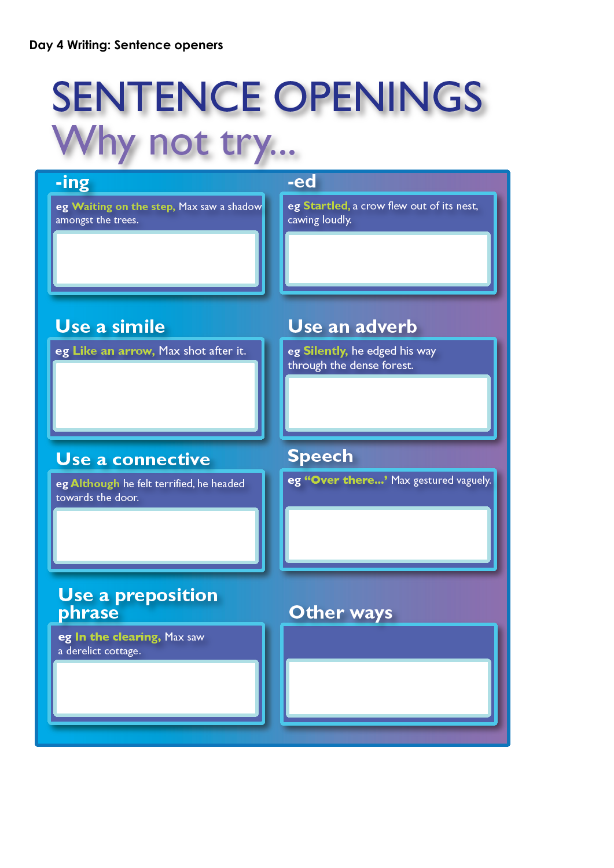## **SENTENCE OPENINGS Nhy not try...**

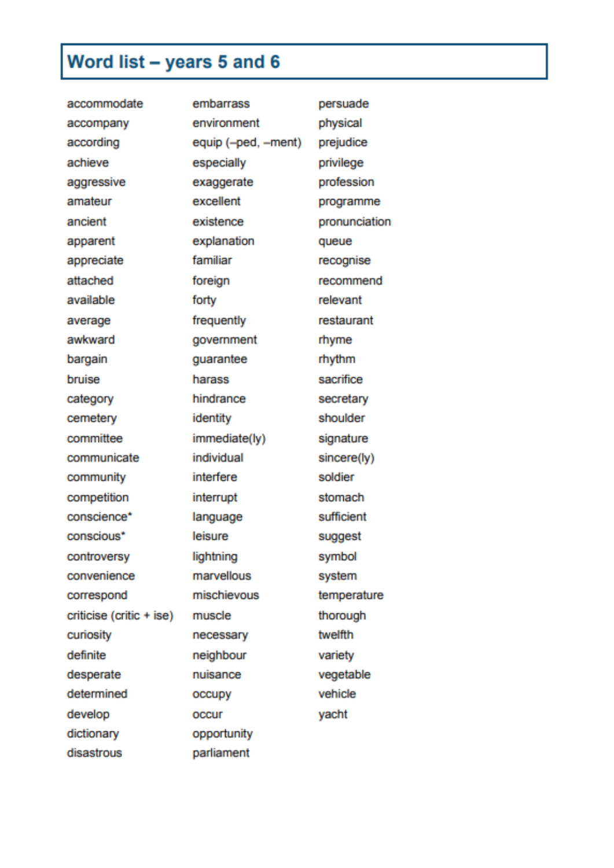## Word list - years 5 and 6

| accommodate              | embarrass           | persuade      |
|--------------------------|---------------------|---------------|
| accompany                | environment         | physical      |
| according                | equip (-ped, -ment) | prejudice     |
| achieve                  | especially          | privilege     |
| aggressive               | exaggerate          | profession    |
| amateur                  | excellent           | programme     |
| ancient                  | existence           | pronunciation |
| apparent                 | explanation         | queue         |
| appreciate               | familiar            | recognise     |
| attached                 | foreign             | recommend     |
| available                | forty               | relevant      |
| average                  | frequently          | restaurant    |
| awkward                  | government          | rhyme         |
| bargain                  | guarantee           | rhythm        |
| bruise                   | harass              | sacrifice     |
| category                 | hindrance           | secretary     |
| cemetery                 | identity            | shoulder      |
| committee                | immediate(ly)       | signature     |
| communicate              | individual          | sincere(ly)   |
| community                | interfere           | soldier       |
| competition              | interrupt           | stomach       |
| conscience*              | language            | sufficient    |
| conscious*               | leisure             | suggest       |
| controversy              | lightning           | symbol        |
| convenience              | marvellous          | system        |
| correspond               | mischievous         | temperature   |
| criticise (critic + ise) | muscle              | thorough      |
| curiosity                | necessary           | twelfth       |
| definite                 | neighbour           | variety       |
| desperate                | nuisance            | vegetable     |
| determined               | occupy              | vehicle       |
| develop                  | occur               | yacht         |
| dictionary               | opportunity         |               |
| disastrous               | parliament          |               |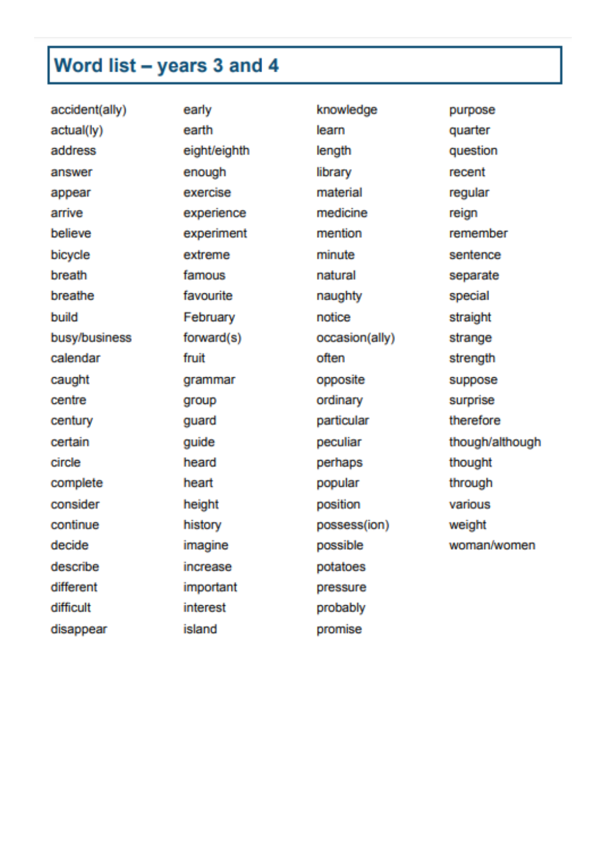## Word list - years 3 and 4

accident(ally) early knowledge actual(ly) earth learn address eight/eighth length answer enough library appear exercise material arrive experience medicine believe mention experiment bicycle minute extreme breath famous natural breathe favourite naughty build February notice busy/business forward(s) occasion(ally) calendar fruit often caught grammar opposite centre ordinary group century guard particular certain guide peculiar circle heard perhaps complete heart popular consider height position continue history possess(ion) decide possible imagine describe increase potatoes different important pressure difficult interest probably island disappear promise

purpose quarter question recent regular reign remember sentence separate special straight strange strength suppose surprise therefore though/although thought through various weight woman/women